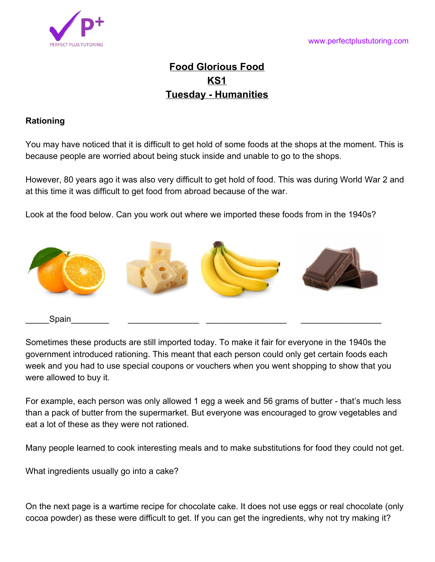

# **Food Glorious Food KS1 Tuesday - Humanities**

### **Rationing**

You may have noticed that it is difficult to get hold of some foods at the shops at the moment. This is because people are worried about being stuck inside and unable to go to the shops.

However, 80 years ago it was also very difficult to get hold of food. This was during World War 2 and at this time it was difficult to get food from abroad because of the war.

Look at the food below. Can you work out where we imported these foods from in the 1940s?



Sometimes these products are still imported today. To make it fair for everyone in the 1940s the government introduced rationing. This meant that each person could only get certain foods each week and you had to use special coupons or vouchers when you went shopping to show that you were allowed to buy it.

For example, each person was only allowed 1 egg a week and 56 grams of butter - that's much less than a pack of butter from the supermarket. But everyone was encouraged to grow vegetables and eat a lot of these as they were not rationed.

Many people learned to cook interesting meals and to make substitutions for food they could not get.

What ingredients usually go into a cake?

On the next page is a wartime recipe for chocolate cake. It does not use eggs or real chocolate (only cocoa powder) as these were difficult to get. If you can get the ingredients, why not try making it?